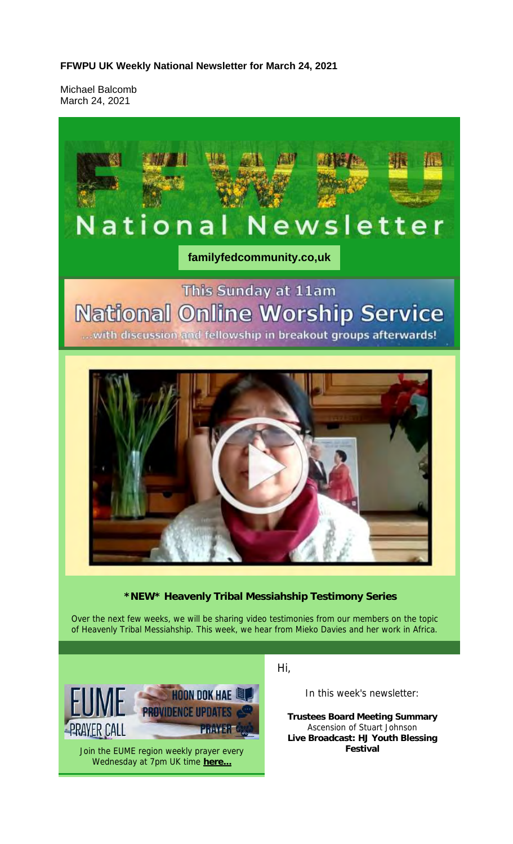**FFWPU UK Weekly National Newsletter for March 24, 2021**

Michael Balcomb March 24, 2021

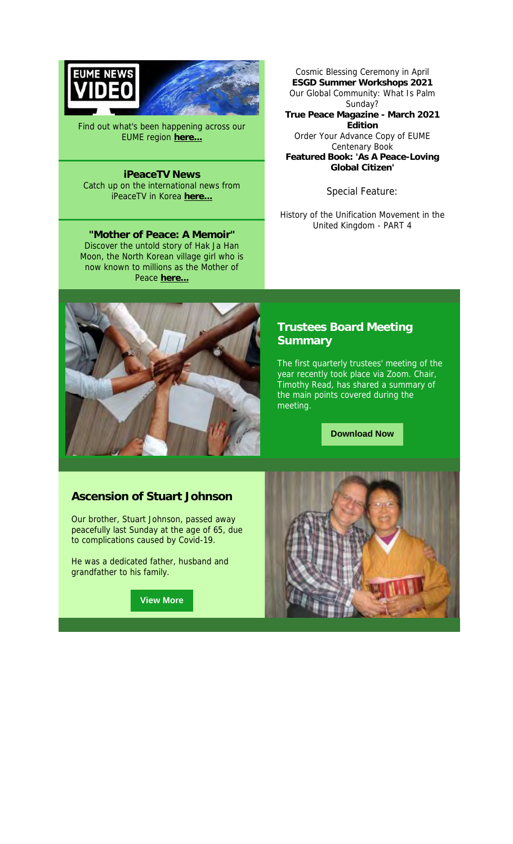

Find out what's been happening across our EUME region **here...**

**iPeaceTV News** Catch up on the international news from iPeaceTV in Korea **here...**

**"Mother of Peace: A Memoir"** Discover the untold story of Hak Ja Han Moon, the North Korean village girl who is now known to millions as the Mother of Peace here.

Cosmic Blessing Ceremony in April **ESGD Summer Workshops 2021** Our Global Community: What Is Palm Sunday? **True Peace Magazine - March 2021 Edition** Order Your Advance Copy of EUME Centenary Book **Featured Book: 'As A Peace-Loving Global Citizen'**

Special Feature:

History of the Unification Movement in the United Kingdom - PART 4



### **Trustees Board Meeting Summary**

The first quarterly trustees' meeting of the year recently took place via Zoom. Chair, Timothy Read, has shared a summary of the main points covered during the meeting.

**Download Now**

#### **Ascension of Stuart Johnson**

Our brother, Stuart Johnson, passed away peacefully last Sunday at the age of 65, due to complications caused by Covid-19.

He was a dedicated father, husband and grandfather to his family.

**View More**

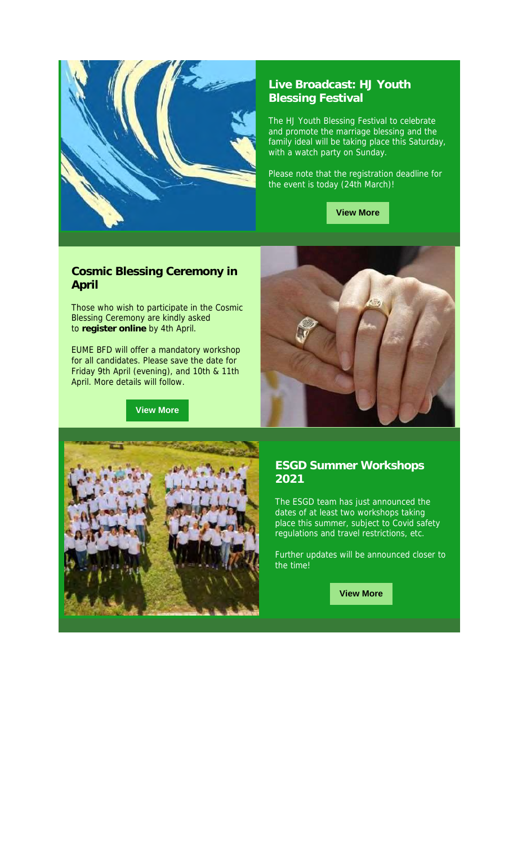

### **Live Broadcast: HJ Youth Blessing Festival**

The HJ Youth Blessing Festival to celebrate and promote the marriage blessing and the family ideal will be taking place this Saturday, with a watch party on Sunday.

Please note that the registration deadline for the event is today (24th March)!



#### **Cosmic Blessing Ceremony in April**

Those who wish to participate in the Cosmic Blessing Ceremony are kindly asked to **register online** by 4th April.

EUME BFD will offer a mandatory workshop for all candidates. Please save the date for Friday 9th April (evening), and 10th & 11th April. More details will follow.

**View More**





#### **ESGD Summer Workshops 2021**

The ESGD team has just announced the dates of at least two workshops taking place this summer, subject to Covid safety regulations and travel restrictions, etc.

Further updates will be announced closer to the time!

**View More**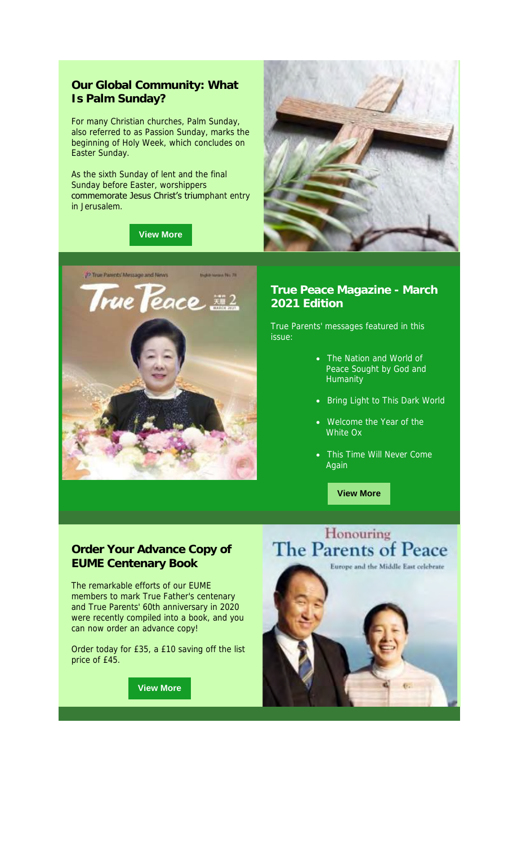#### **Our Global Community: What Is Palm Sunday?**

For many Christian churches, Palm Sunday, also referred to as Passion Sunday, marks the beginning of Holy Week, which concludes on Easter Sunday.

As the sixth Sunday of lent and the final Sunday before Easter, worshippers commemorate Jesus Christ's triumphant entry in Jerusalem.

#### **View More**





#### **True Peace Magazine - March 2021 Edition**

True Parents' messages featured in this issue:

- The Nation and World of Peace Sought by God and Humanity
- Bring Light to This Dark World
- Welcome the Year of the White Ox
- This Time Will Never Come Again

**View More**

#### **Order Your Advance Copy of EUME Centenary Book**

The remarkable efforts of our EUME members to mark True Father's centenary and True Parents' 60th anniversary in 2020 were recently compiled into a book, and you can now order an advance copy!

Order today for £35, a £10 saving off the list price of £45.

**View More**

## Honouring **The Parents of Peace**

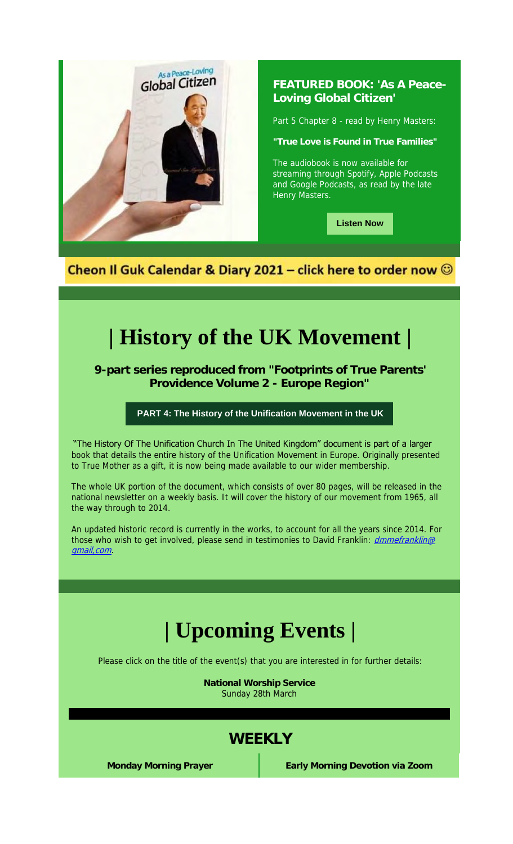

### **FEATURED BOOK: 'As A Peace-Loving Global Citizen'**

Part 5 Chapter 8 - read by Henry Masters:

**"True Love is Found in True Families"**

The audiobook is now available for streaming through Spotify, Apple Podcasts and Google Podcasts, as read by the late Henry Masters.

**Listen Now**

Cheon Il Guk Calendar & Diary 2021 - click here to order now @

# **| History of the UK Movement |**

**9-part series reproduced from "Footprints of True Parents' Providence Volume 2 - Europe Region"**

**PART 4: The History of the Unification Movement in the UK**

"The History Of The Unification Church In The United Kingdom" document is part of a larger book that details the entire history of the Unification Movement in Europe. Originally presented to True Mother as a gift, it is now being made available to our wider membership.

The whole UK portion of the document, which consists of over 80 pages, will be released in the national newsletter on a weekly basis. It will cover the history of our movement from 1965, all the way through to 2014.

An updated historic record is currently in the works, to account for all the years since 2014. For those who wish to get involved, please send in testimonies to David Franklin: dmmefranklin@ gmail,com.

# **| Upcoming Events |**

Please click on the title of the event(s) that you are interested in for further details:

**National Worship Service** Sunday 28th March

## **WEEKLY**

**Monday Morning Prayer Early Morning Devotion via Zoom**